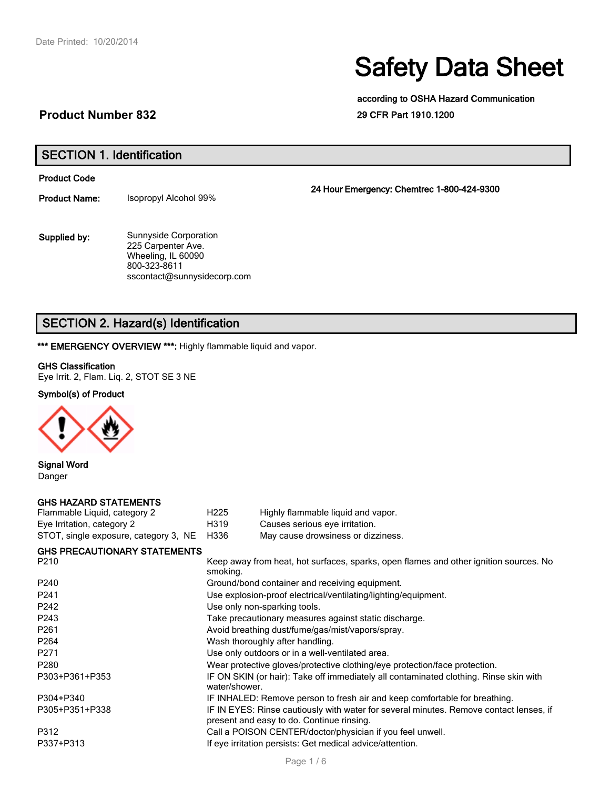# Safety Data Sheet

according to OSHA Hazard Communication 29 CFR Part 1910.1200

#### **Product Number 832**

SECTION 1. Identification

Product Code

Product Name: Isopropyl Alcohol 99%

Sunnyside Corporation 225 Carpenter Ave. Wheeling, IL 60090 800-323-8611 sscontact@sunnysidecorp.com Supplied by:

24 Hour Emergency: Chemtrec 1-800-424-9300

### SECTION 2. Hazard(s) Identification

\*\*\* EMERGENCY OVERVIEW \*\*\*: Highly flammable liquid and vapor.

#### GHS Classification

Eye Irrit. 2, Flam. Liq. 2, STOT SE 3 NE

#### Symbol(s) of Product



Signal Word Danger

#### GHS HAZARD STATEMENTS

| Flammable Liquid, category 2            | H <sub>225</sub> | Highly flammable liquid and vapor. |
|-----------------------------------------|------------------|------------------------------------|
| Eye Irritation, category 2              | H319             | Causes serious eye irritation.     |
| STOT, single exposure, category 3, NE ' | H336             | May cause drowsiness or dizziness. |

| <b>GHS PRECAUTIONARY STATEMENTS</b> |  |
|-------------------------------------|--|
| $\sim$ $\sim$                       |  |

| P <sub>210</sub> | Keep away from heat, hot surfaces, sparks, open flames and other ignition sources. No<br>smoking.                                   |  |  |
|------------------|-------------------------------------------------------------------------------------------------------------------------------------|--|--|
| P <sub>240</sub> | Ground/bond container and receiving equipment.                                                                                      |  |  |
| P <sub>241</sub> | Use explosion-proof electrical/ventilating/lighting/equipment.                                                                      |  |  |
| P <sub>242</sub> | Use only non-sparking tools.                                                                                                        |  |  |
| P <sub>243</sub> | Take precautionary measures against static discharge.                                                                               |  |  |
| P <sub>261</sub> | Avoid breathing dust/fume/gas/mist/vapors/spray.                                                                                    |  |  |
| P <sub>264</sub> | Wash thoroughly after handling.                                                                                                     |  |  |
| P <sub>271</sub> | Use only outdoors or in a well-ventilated area.                                                                                     |  |  |
| P <sub>280</sub> | Wear protective gloves/protective clothing/eye protection/face protection.                                                          |  |  |
| P303+P361+P353   | IF ON SKIN (or hair): Take off immediately all contaminated clothing. Rinse skin with<br>water/shower.                              |  |  |
| P304+P340        | IF INHALED: Remove person to fresh air and keep comfortable for breathing.                                                          |  |  |
| P305+P351+P338   | IF IN EYES: Rinse cautiously with water for several minutes. Remove contact lenses, if<br>present and easy to do. Continue rinsing. |  |  |
| P312             | Call a POISON CENTER/doctor/physician if you feel unwell.                                                                           |  |  |
| P337+P313        | If eye irritation persists: Get medical advice/attention.                                                                           |  |  |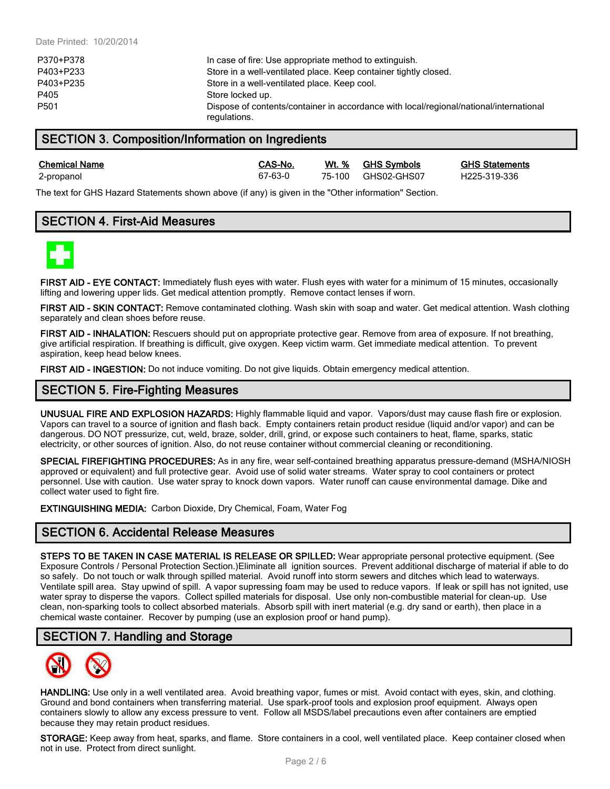| P370+P378 | In case of fire: Use appropriate method to extinguish.                                                 |
|-----------|--------------------------------------------------------------------------------------------------------|
| P403+P233 | Store in a well-ventilated place. Keep container tightly closed.                                       |
| P403+P235 | Store in a well-ventilated place. Keep cool.                                                           |
| P405      | Store locked up.                                                                                       |
| P501      | Dispose of contents/container in accordance with local/regional/national/international<br>regulations. |

#### SECTION 3. Composition/Information on Ingredients

Chemical Name CAS-No. Wt. % GHS Symbols GHS Statements 2-propanol 67-63-0 75-100 GHS02-GHS07 H225-319-336

The text for GHS Hazard Statements shown above (if any) is given in the "Other information" Section.

#### SECTION 4. First-Aid Measures



FIRST AID - EYE CONTACT: Immediately flush eyes with water. Flush eyes with water for a minimum of 15 minutes, occasionally lifting and lowering upper lids. Get medical attention promptly. Remove contact lenses if worn.

FIRST AID - SKIN CONTACT: Remove contaminated clothing. Wash skin with soap and water. Get medical attention. Wash clothing separately and clean shoes before reuse.

FIRST AID - INHALATION: Rescuers should put on appropriate protective gear. Remove from area of exposure. If not breathing, give artificial respiration. If breathing is difficult, give oxygen. Keep victim warm. Get immediate medical attention. To prevent aspiration, keep head below knees.

FIRST AID - INGESTION: Do not induce vomiting. Do not give liquids. Obtain emergency medical attention.

#### SECTION 5. Fire-Fighting Measures

UNUSUAL FIRE AND EXPLOSION HAZARDS: Highly flammable liquid and vapor. Vapors/dust may cause flash fire or explosion. Vapors can travel to a source of ignition and flash back. Empty containers retain product residue (liquid and/or vapor) and can be dangerous. DO NOT pressurize, cut, weld, braze, solder, drill, grind, or expose such containers to heat, flame, sparks, static electricity, or other sources of ignition. Also, do not reuse container without commercial cleaning or reconditioning.

SPECIAL FIREFIGHTING PROCEDURES: As in any fire, wear self-contained breathing apparatus pressure-demand (MSHA/NIOSH approved or equivalent) and full protective gear. Avoid use of solid water streams. Water spray to cool containers or protect personnel. Use with caution. Use water spray to knock down vapors. Water runoff can cause environmental damage. Dike and collect water used to fight fire.

EXTINGUISHING MEDIA: Carbon Dioxide, Dry Chemical, Foam, Water Fog

#### SECTION 6. Accidental Release Measures

STEPS TO BE TAKEN IN CASE MATERIAL IS RELEASE OR SPILLED: Wear appropriate personal protective equipment. (See Exposure Controls / Personal Protection Section.)Eliminate all ignition sources. Prevent additional discharge of material if able to do so safely. Do not touch or walk through spilled material. Avoid runoff into storm sewers and ditches which lead to waterways. Ventilate spill area. Stay upwind of spill. A vapor supressing foam may be used to reduce vapors. If leak or spill has not ignited, use water spray to disperse the vapors. Collect spilled materials for disposal. Use only non-combustible material for clean-up. Use clean, non-sparking tools to collect absorbed materials. Absorb spill with inert material (e.g. dry sand or earth), then place in a chemical waste container. Recover by pumping (use an explosion proof or hand pump).

#### SECTION 7. Handling and Storage



HANDLING: Use only in a well ventilated area. Avoid breathing vapor, fumes or mist. Avoid contact with eyes, skin, and clothing. Ground and bond containers when transferring material. Use spark-proof tools and explosion proof equipment. Always open containers slowly to allow any excess pressure to vent. Follow all MSDS/label precautions even after containers are emptied because they may retain product residues.

STORAGE: Keep away from heat, sparks, and flame. Store containers in a cool, well ventilated place. Keep container closed when not in use. Protect from direct sunlight.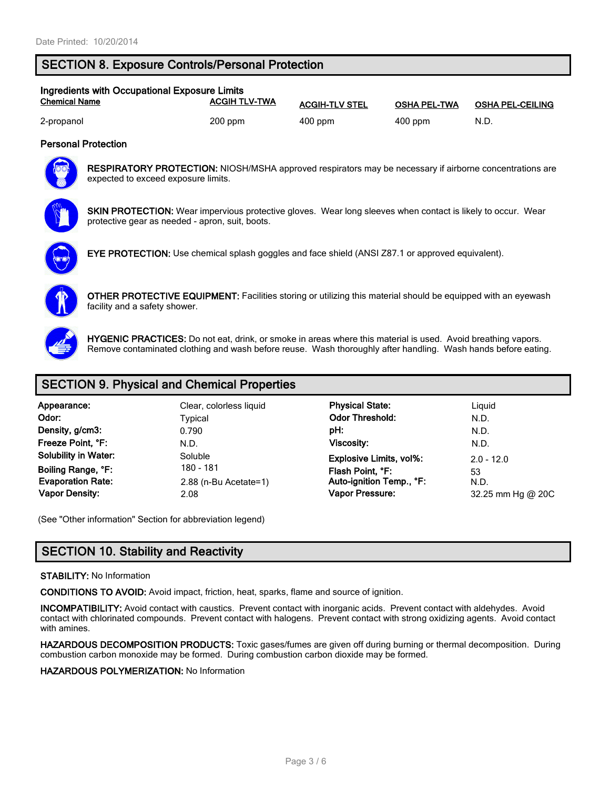#### SECTION 8. Exposure Controls/Personal Protection

| Ingredients with Occupational Exposure Limits |                      |                       |                     |                         |  |  |
|-----------------------------------------------|----------------------|-----------------------|---------------------|-------------------------|--|--|
| <b>Chemical Name</b>                          | <b>ACGIH TLV-TWA</b> | <b>ACGIH-TLV STEL</b> | <b>OSHA PEL-TWA</b> | <b>OSHA PEL-CEILING</b> |  |  |
| 2-propanol                                    | $200$ ppm            | 400 ppm               | $400$ ppm           | N.D.                    |  |  |

#### Personal Protection



RESPIRATORY PROTECTION: NIOSH/MSHA approved respirators may be necessary if airborne concentrations are expected to exceed exposure limits.



SKIN PROTECTION: Wear impervious protective gloves. Wear long sleeves when contact is likely to occur. Wear protective gear as needed - apron, suit, boots.



EYE PROTECTION: Use chemical splash goggles and face shield (ANSI Z87.1 or approved equivalent).



OTHER PROTECTIVE EQUIPMENT: Facilities storing or utilizing this material should be equipped with an eyewash facility and a safety shower.



HYGENIC PRACTICES: Do not eat, drink, or smoke in areas where this material is used. Avoid breathing vapors. Remove contaminated clothing and wash before reuse. Wash thoroughly after handling. Wash hands before eating.

#### SECTION 9. Physical and Chemical Properties

| Appearance:                 | Clear, colorless liquid | <b>Physical State:</b>         | Ligu    |
|-----------------------------|-------------------------|--------------------------------|---------|
| Odor:                       | Typical                 | <b>Odor Threshold:</b>         | N.D.    |
| Density, g/cm3:             | 0.790                   | pH:                            | N.D.    |
| Freeze Point, °F:           | N.D.                    | Viscosity:                     | N.D.    |
| <b>Solubility in Water:</b> | Soluble                 | <b>Explosive Limits, vol%:</b> | $2.0 -$ |
| Boiling Range, °F:          | 180 - 181               | Flash Point, °F:               | 53      |
| <b>Evaporation Rate:</b>    | $2.88$ (n-Bu Acetate=1) | Auto-ignition Temp., °F:       | N.D.    |
| <b>Vapor Density:</b>       | 2.08                    | <b>Vapor Pressure:</b>         | 32.2    |

olorless liquid **Physical State:** Liquid Physical State: Odor Threshold: N.D. Explosive Limits, vol%: 2.0 - 12.0<br>Solution: Solution: Solution: 2.0 - 12.0 Boiling Range, °F: 180 - 181 Flash Point, °F: <sup>53</sup> Auto-ignition Temp., °F: **Vapor Pressure:** 22.25 mm Hg @ 20C

(See "Other information" Section for abbreviation legend)

#### SECTION 10. Stability and Reactivity

#### STABILITY: No Information

CONDITIONS TO AVOID: Avoid impact, friction, heat, sparks, flame and source of ignition.

INCOMPATIBILITY: Avoid contact with caustics. Prevent contact with inorganic acids. Prevent contact with aldehydes. Avoid contact with chlorinated compounds. Prevent contact with halogens. Prevent contact with strong oxidizing agents. Avoid contact with amines.

HAZARDOUS DECOMPOSITION PRODUCTS: Toxic gases/fumes are given off during burning or thermal decomposition. During combustion carbon monoxide may be formed. During combustion carbon dioxide may be formed.

#### HAZARDOUS POLYMERIZATION: No Information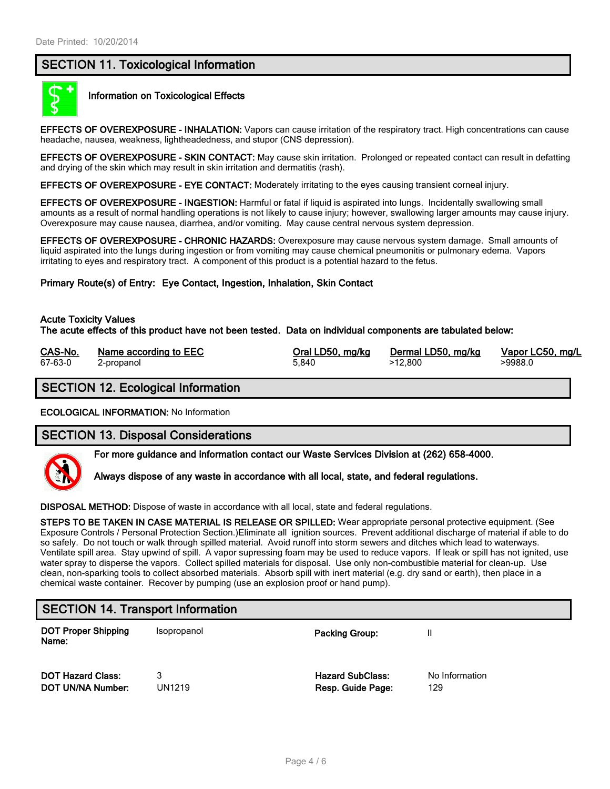#### SECTION 11. Toxicological Information



#### Information on Toxicological Effects

EFFECTS OF OVEREXPOSURE - INHALATION: Vapors can cause irritation of the respiratory tract. High concentrations can cause headache, nausea, weakness, lightheadedness, and stupor (CNS depression).

EFFECTS OF OVEREXPOSURE - SKIN CONTACT: May cause skin irritation. Prolonged or repeated contact can result in defatting and drying of the skin which may result in skin irritation and dermatitis (rash).

EFFECTS OF OVEREXPOSURE - EYE CONTACT: Moderately irritating to the eyes causing transient corneal injury.

EFFECTS OF OVEREXPOSURE - INGESTION: Harmful or fatal if liquid is aspirated into lungs. Incidentally swallowing small amounts as a result of normal handling operations is not likely to cause injury; however, swallowing larger amounts may cause injury. Overexposure may cause nausea, diarrhea, and/or vomiting. May cause central nervous system depression.

EFFECTS OF OVEREXPOSURE - CHRONIC HAZARDS: Overexposure may cause nervous system damage. Small amounts of liquid aspirated into the lungs during ingestion or from vomiting may cause chemical pneumonitis or pulmonary edema. Vapors irritating to eyes and respiratory tract. A component of this product is a potential hazard to the fetus.

Primary Route(s) of Entry: Eye Contact, Ingestion, Inhalation, Skin Contact

#### Acute Toxicity Values

The acute effects of this product have not been tested. Data on individual components are tabulated below:

| CAS-No. | Name according to EEC | Oral LD50, mg/kg | Dermal LD50, mg/kg | Vapor LC50, mg/L |
|---------|-----------------------|------------------|--------------------|------------------|
| 67-63-0 | 2-propanol            | 5.840            | >12.800            | >9988.0          |

### SECTION 12. Ecological Information

ECOLOGICAL INFORMATION: No Information

#### SECTION 13. Disposal Considerations

For more guidance and information contact our Waste Services Division at (262) 658-4000.



DISPOSAL METHOD: Dispose of waste in accordance with all local, state and federal regulations.

STEPS TO BE TAKEN IN CASE MATERIAL IS RELEASE OR SPILLED: Wear appropriate personal protective equipment. (See Exposure Controls / Personal Protection Section.)Eliminate all ignition sources. Prevent additional discharge of material if able to do so safely. Do not touch or walk through spilled material. Avoid runoff into storm sewers and ditches which lead to waterways. Ventilate spill area. Stay upwind of spill. A vapor supressing foam may be used to reduce vapors. If leak or spill has not ignited, use water spray to disperse the vapors. Collect spilled materials for disposal. Use only non-combustible material for clean-up. Use clean, non-sparking tools to collect absorbed materials. Absorb spill with inert material (e.g. dry sand or earth), then place in a chemical waste container. Recover by pumping (use an explosion proof or hand pump).

## SECTION 14. Transport Information

DOT Proper Shipping Name:

Isopropanol **Packing Group:** II

**DOT Hazard Class:** 2 3 **Hazard SubClass:** No Information **DOT UN/NA Number:** UN1219 **Resp. Guide Page:** 129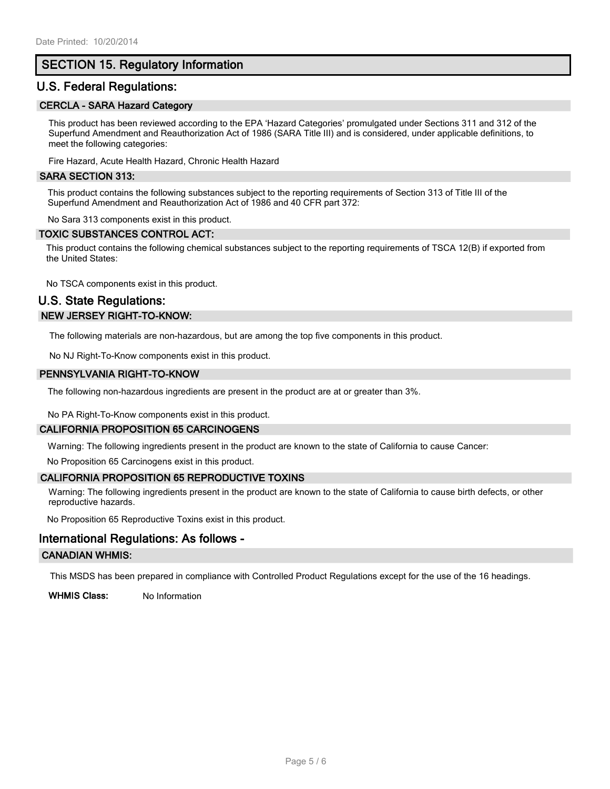#### SECTION 15. Regulatory Information

#### U.S. Federal Regulations:

#### CERCLA - SARA Hazard Category

This product has been reviewed according to the EPA 'Hazard Categories' promulgated under Sections 311 and 312 of the Superfund Amendment and Reauthorization Act of 1986 (SARA Title III) and is considered, under applicable definitions, to meet the following categories:

Fire Hazard, Acute Health Hazard, Chronic Health Hazard

#### SARA SECTION 313:

This product contains the following substances subject to the reporting requirements of Section 313 of Title III of the Superfund Amendment and Reauthorization Act of 1986 and 40 CFR part 372:

No Sara 313 components exist in this product.

#### TOXIC SUBSTANCES CONTROL ACT:

This product contains the following chemical substances subject to the reporting requirements of TSCA 12(B) if exported from the United States:

No TSCA components exist in this product.

#### U.S. State Regulations: NEW JERSEY RIGHT-TO-KNOW:

The following materials are non-hazardous, but are among the top five components in this product.

No NJ Right-To-Know components exist in this product.

#### PENNSYLVANIA RIGHT-TO-KNOW

The following non-hazardous ingredients are present in the product are at or greater than 3%.

No PA Right-To-Know components exist in this product.

#### CALIFORNIA PROPOSITION 65 CARCINOGENS

Warning: The following ingredients present in the product are known to the state of California to cause Cancer:

No Proposition 65 Carcinogens exist in this product.

#### CALIFORNIA PROPOSITION 65 REPRODUCTIVE TOXINS

Warning: The following ingredients present in the product are known to the state of California to cause birth defects, or other reproductive hazards.

No Proposition 65 Reproductive Toxins exist in this product.

#### International Regulations: As follows -

#### CANADIAN WHMIS:

This MSDS has been prepared in compliance with Controlled Product Regulations except for the use of the 16 headings.

WHMIS Class: No Information